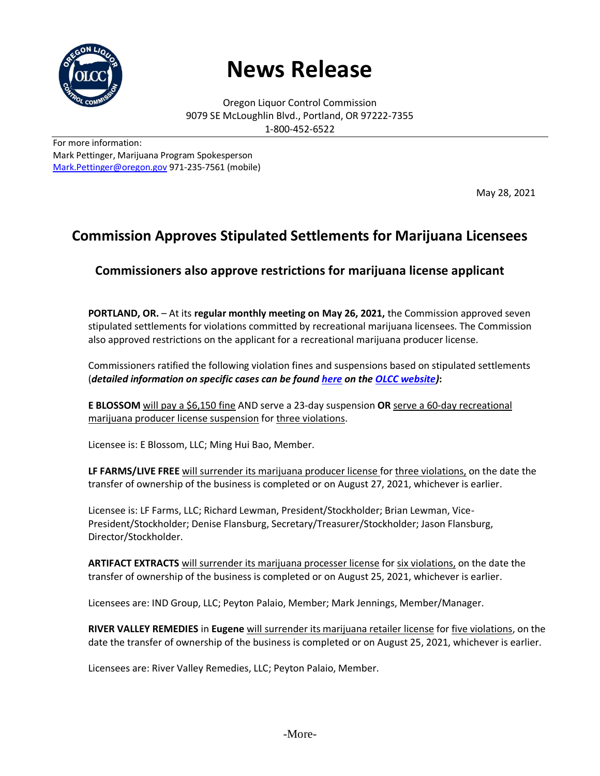

## **News Release**

Oregon Liquor Control Commission 9079 SE McLoughlin Blvd., Portland, OR 97222-7355 1-800-452-6522

For more information: Mark Pettinger, Marijuana Program Spokesperson [Mark.Pettinger@oregon.gov](mailto:Mark.Pettinger@oregon.gov) 971-235-7561 (mobile)

May 28, 2021

## **Commission Approves Stipulated Settlements for Marijuana Licensees**

## **Commissioners also approve restrictions for marijuana license applicant**

**PORTLAND, OR.** – At its **regular monthly meeting on May 26, 2021,** the Commission approved seven stipulated settlements for violations committed by recreational marijuana licensees. The Commission also approved restrictions on the applicant for a recreational marijuana producer license.

Commissioners ratified the following violation fines and suspensions based on stipulated settlements (*detailed information on specific cases can be found [here](https://www.oregon.gov/olcc/Pages/final_orders.aspx) on the [OLCC website\)](https://www.oregon.gov/olcc/Pages/index.aspx)***:**

**E BLOSSOM** will pay a \$6,150 fine AND serve a 23-day suspension **OR** serve a 60-day recreational marijuana producer license suspension for three violations.

Licensee is: E Blossom, LLC; Ming Hui Bao, Member.

**LF FARMS/LIVE FREE** will surrender its marijuana producer license for three violations, on the date the transfer of ownership of the business is completed or on August 27, 2021, whichever is earlier.

Licensee is: LF Farms, LLC; Richard Lewman, President/Stockholder; Brian Lewman, Vice-President/Stockholder; Denise Flansburg, Secretary/Treasurer/Stockholder; Jason Flansburg, Director/Stockholder.

**ARTIFACT EXTRACTS** will surrender its marijuana processer license for six violations, on the date the transfer of ownership of the business is completed or on August 25, 2021, whichever is earlier.

Licensees are: IND Group, LLC; Peyton Palaio, Member; Mark Jennings, Member/Manager.

**RIVER VALLEY REMEDIES** in **Eugene** will surrender its marijuana retailer license for five violations, on the date the transfer of ownership of the business is completed or on August 25, 2021, whichever is earlier.

Licensees are: River Valley Remedies, LLC; Peyton Palaio, Member.